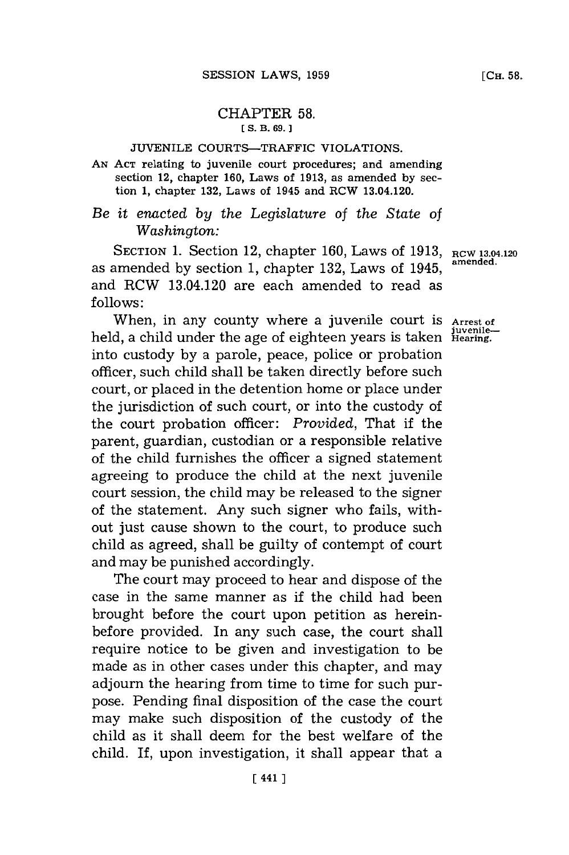## CHAPTER **58. [ S. B. 69.1**

## **JUVENILE** COURTS-TRAFFIC VIOLATIONS.

**AN ACT** relating to juvenile court procedures; and amending section 12, chapter **160,** Laws of **1913,** as amended **by** section **1,** chapter **132,** Laws of 1945 and RCW 13.04.120.

*Be it enacted by the Legislature* of *the State of Washington:*

SECTION **1.** Section 12, chapter **160,** Laws of **1913, RCW 13.04.120** as amended by section 1, chapter 132, Laws of 1945, and RCW 13.04.120 are each amended to read as **follows:**

When, in any county where a juvenile court is **Arrest of juvenile--** held, a child under the age of eighteen years is taken **Hearing.** into custody **by** a parole, peace, police or probation officer, such child shall be taken directly before such court, or placed in the detention home or place under the jurisdiction of such court, or into the custody of the court probation officer: *Provided,* That if the parent, guardian, custodian or a responsible relative of the child furnishes the officer a signed statement agreeing to produce the child at the next juvenile court session, the child may be released to the signer of the statement. Any such signer who fails, without just cause shown to the court, to produce such child as agreed, shall be guilty of contempt of court and may be punished accordingly.

The court may proceed to hear and dispose of the case in the same manner as if the child had been brought before the court upon petition as hereinbefore provided. In any such case, the court shall require notice to be given and investigation to be made as in other cases under this chapter, and may adjourn the hearing from time to time for such purpose. Pending final disposition of the case the court may make such disposition of the custody of the child as it shall deem for the best welfare of the child. If, upon investigation, it shall appear that a